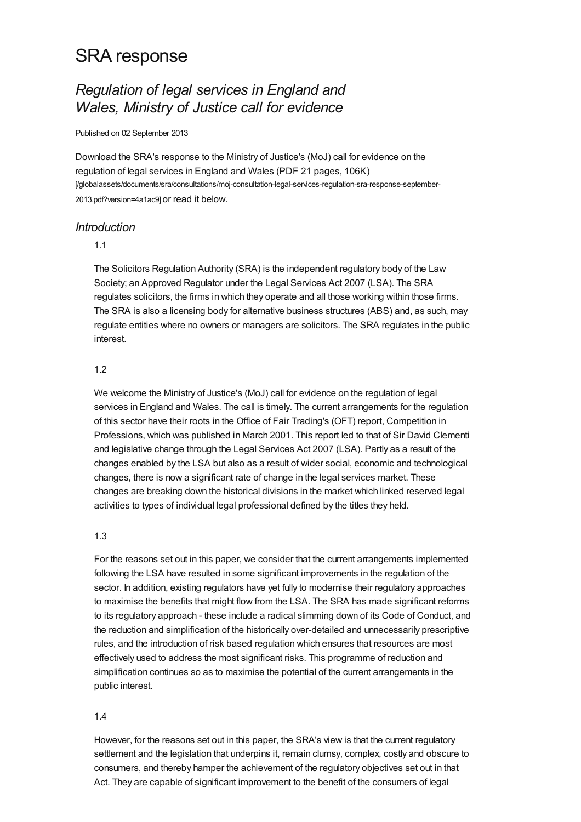# SRA response

# *Regulation of legal services in England and Wales, Ministry of Justice call for evidence*

#### Published on 02 September 2013

Download the SRA's response to the Ministry of Justice's (MoJ) call for evidence on the regulation of legal services in England and Wales (PDF 21 pages, 106K) [\[/globalassets/documents/sra/consultations/moj-consultation-legal-services-regulation-sra-response-september-](https://www.sra.org.uk/globalassets/documents/sra/consultations/moj-consultation-legal-services-regulation-sra-response-september-2013.pdf?version=4a1ac9)2013.pdf?version=4a1ac9] or read it below.

# *Introduction*

### 1.1

The Solicitors Regulation Authority (SRA) is the independent regulatory body of the Law Society; an Approved Regulator under the Legal Services Act 2007 (LSA). The SRA regulates solicitors, the firms in which they operate and all those working within those firms. The SRA is also a licensing body for alternative business structures (ABS) and, as such, may regulate entities where no owners or managers are solicitors. The SRA regulates in the public interest.

# 1.2

We welcome the Ministry of Justice's (MoJ) call for evidence on the regulation of legal services in England and Wales. The call is timely. The current arrangements for the regulation of this sector have their roots in the Office of Fair Trading's (OFT) report, Competition in Professions, which was published in March 2001. This report led to that of Sir David Clementi and legislative change through the Legal Services Act 2007 (LSA). Partly as a result of the changes enabled by the LSA but also as a result of wider social, economic and technological changes, there is now a significant rate of change in the legal services market. These changes are breaking down the historical divisions in the market which linked reserved legal activities to types of individual legal professional defined by the titles they held.

## 1.3

For the reasons set out in this paper, we consider that the current arrangements implemented following the LSA have resulted in some significant improvements in the regulation of the sector. In addition, existing regulators have yet fully to modernise their regulatory approaches to maximise the benefits that might flow from the LSA. The SRA has made significant reforms to its regulatory approach - these include a radical slimming down of its Code of Conduct, and the reduction and simplification of the historically over-detailed and unnecessarily prescriptive rules, and the introduction of risk based regulation which ensures that resources are most effectively used to address the most significant risks. This programme of reduction and simplification continues so as to maximise the potential of the current arrangements in the public interest.

#### 1.4

However, for the reasons set out in this paper, the SRA's view is that the current regulatory settlement and the legislation that underpins it, remain clumsy, complex, costly and obscure to consumers, and thereby hamper the achievement of the regulatory objectives set out in that Act. They are capable of significant improvement to the benefit of the consumers of legal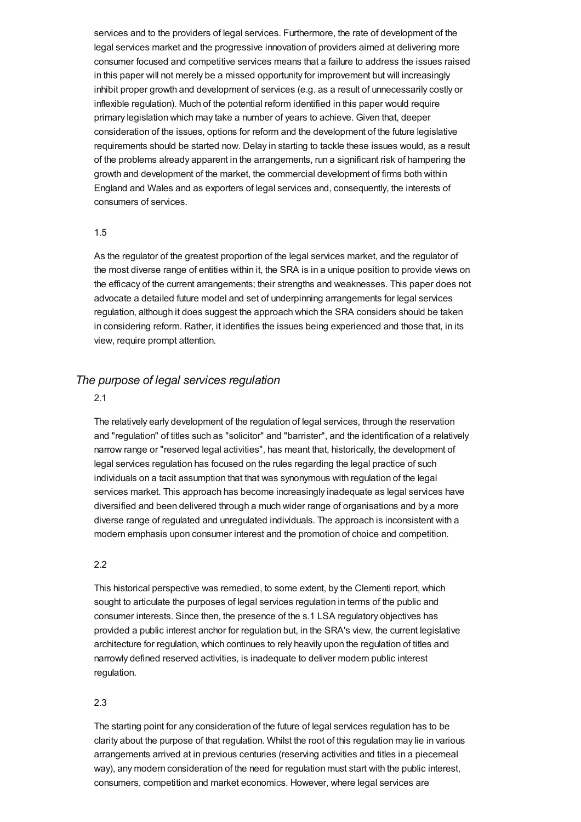services and to the providers of legal services. Furthermore, the rate of development of the legal services market and the progressive innovation of providers aimed at delivering more consumer focused and competitive services means that a failure to address the issues raised in this paper will not merely be a missed opportunity for improvement but will increasingly inhibit proper growth and development of services (e.g. as a result of unnecessarily costly or inflexible regulation). Much of the potential reform identified in this paper would require primary legislation which may take a number of years to achieve. Given that, deeper consideration of the issues, options for reform and the development of the future legislative requirements should be started now. Delay in starting to tackle these issues would, as a result of the problems already apparent in the arrangements, run a significant risk of hampering the growth and development of the market, the commercial development of firms both within England and Wales and as exporters of legal services and, consequently, the interests of consumers of services.

#### 1.5

As the regulator of the greatest proportion of the legal services market, and the regulator of the most diverse range of entities within it, the SRA is in a unique position to provide views on the efficacy of the current arrangements; their strengths and weaknesses. This paper does not advocate a detailed future model and set of underpinning arrangements for legal services regulation, although it does suggest the approach which the SRA considers should be taken in considering reform. Rather, it identifies the issues being experienced and those that, in its view, require prompt attention.

# *The purpose of legal services regulation*

#### 2.1

The relatively early development of the regulation of legal services, through the reservation and "regulation" of titles such as "solicitor" and "barrister", and the identification of a relatively narrow range or "reserved legal activities", has meant that, historically, the development of legal services regulation has focused on the rules regarding the legal practice of such individuals on a tacit assumption that that was synonymous with regulation of the legal services market. This approach has become increasingly inadequate as legal services have diversified and been delivered through a much wider range of organisations and by a more diverse range of regulated and unregulated individuals. The approach is inconsistent with a modern emphasis upon consumer interest and the promotion of choice and competition.

#### 2.2

This historical perspective was remedied, to some extent, by the Clementi report, which sought to articulate the purposes of legal services regulation in terms of the public and consumer interests. Since then, the presence of the s.1 LSA regulatory objectives has provided a public interest anchor for regulation but, in the SRA's view, the current legislative architecture for regulation, which continues to rely heavily upon the regulation of titles and narrowly defined reserved activities, is inadequate to deliver modern public interest regulation.

#### 2.3

The starting point for any consideration of the future of legal services regulation has to be clarity about the purpose of that regulation. Whilst the root of this regulation may lie in various arrangements arrived at in previous centuries (reserving activities and titles in a piecemeal way), any modern consideration of the need for regulation must start with the public interest, consumers, competition and market economics. However, where legal services are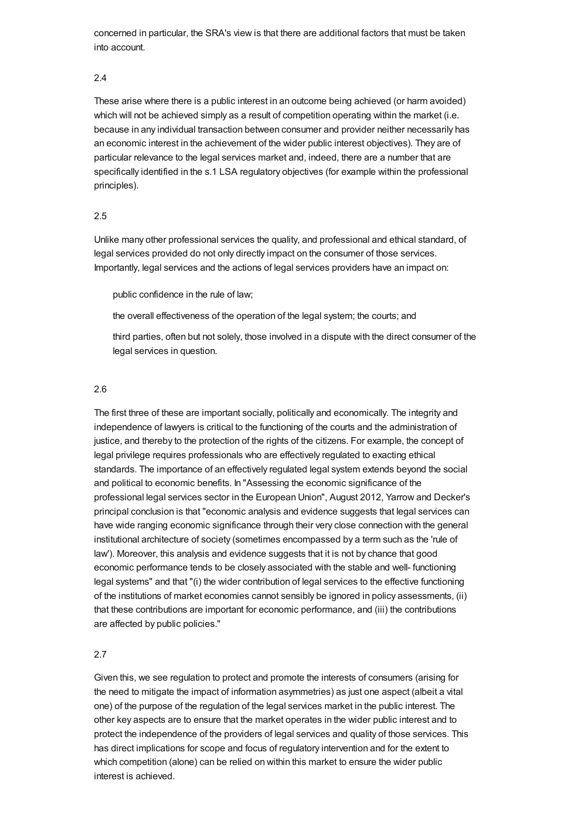concerned in particular, the SRA's view is that there are additional factors that must be taken into account.

#### 2.4

These arise where there is a public interest in an outcome being achieved (or harm avoided) which will not be achieved simply as a result of competition operating within the market (i.e. because in any individual transaction between consumer and provider neither necessarily has an economic interest in the achievement of the wider public interest objectives). They are of particular relevance to the legal services market and, indeed, there are a number that are specifically identified in the s.1 LSA regulatory objectives (for example within the professional principles).

#### 2.5

Unlike many other professional services the quality, and professional and ethical standard, of legal services provided do not only directly impact on the consumer of those services. Importantly, legal services and the actions of legal services providers have an impact on:

public confidence in the rule of law;

the overall effectiveness of the operation of the legal system; the courts; and

third parties, often but not solely, those involved in a dispute with the direct consumer of the legal services in question.

#### 2.6

The first three of these are important socially, politically and economically. The integrity and independence of lawyers is critical to the functioning of the courts and the administration of justice, and thereby to the protection of the rights of the citizens. For example, the concept of legal privilege requires professionals who are effectively regulated to exacting ethical standards. The importance of an effectively regulated legal system extends beyond the social and political to economic benefits. In "Assessing the economic significance of the professional legal services sector in the European Union", August 2012, Yarrow and Decker's principal conclusion is that "economic analysis and evidence suggests that legal services can have wide ranging economic significance through their very close connection with the general institutional architecture of society (sometimes encompassed by a term such as the 'rule of law'). Moreover, this analysis and evidence suggests that it is not by chance that good economic performance tends to be closely associated with the stable and well- functioning legal systems" and that "(i) the wider contribution of legal services to the effective functioning of the institutions of market economies cannot sensibly be ignored in policy assessments, (ii) that these contributions are important for economic performance, and (iii) the contributions are affected by public policies."

#### 2.7

Given this, we see regulation to protect and promote the interests of consumers (arising for the need to mitigate the impact of information asymmetries) as just one aspect (albeit a vital one) of the purpose of the regulation of the legal services market in the public interest. The other key aspects are to ensure that the market operates in the wider public interest and to protect the independence of the providers of legal services and quality of those services. This has direct implications for scope and focus of regulatory intervention and for the extent to which competition (alone) can be relied on within this market to ensure the wider public interest is achieved.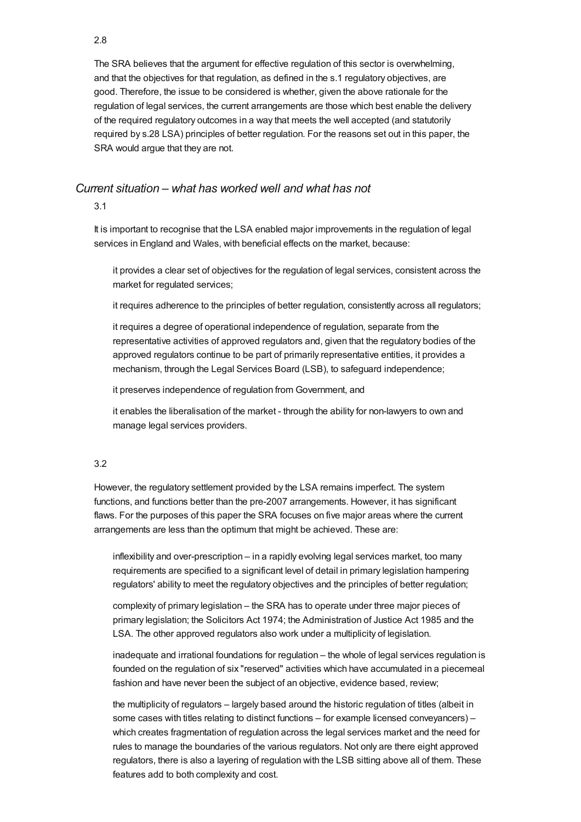The SRA believes that the argument for effective regulation of this sector is overwhelming, and that the objectives for that regulation, as defined in the s.1 regulatory objectives, are good. Therefore, the issue to be considered is whether, given the above rationale for the regulation of legal services, the current arrangements are those which best enable the delivery of the required regulatory outcomes in a way that meets the well accepted (and statutorily required by s.28 LSA) principles of better regulation. For the reasons set out in this paper, the SRA would argue that they are not.

# *Current situation – what has worked well and what has not*

3.1

It is important to recognise that the LSA enabled major improvements in the regulation of legal services in England and Wales, with beneficial effects on the market, because:

it provides a clear set of objectives for the regulation of legal services, consistent across the market for regulated services;

it requires adherence to the principles of better regulation, consistently across all regulators;

it requires a degree of operational independence of regulation, separate from the representative activities of approved regulators and, given that the regulatory bodies of the approved regulators continue to be part of primarily representative entities, it provides a mechanism, through the Legal Services Board (LSB), to safeguard independence;

it preserves independence of regulation from Government, and

it enables the liberalisation of the market - through the ability for non-lawyers to own and manage legal services providers.

#### 3.2

However, the regulatory settlement provided by the LSA remains imperfect. The system functions, and functions better than the pre-2007 arrangements. However, it has significant flaws. For the purposes of this paper the SRA focuses on five major areas where the current arrangements are less than the optimum that might be achieved. These are:

inflexibility and over-prescription – in a rapidly evolving legal services market, too many requirements are specified to a significant level of detail in primary legislation hampering regulators' ability to meet the regulatory objectives and the principles of better regulation;

complexity of primary legislation – the SRA has to operate under three major pieces of primary legislation; the Solicitors Act 1974; the Administration of Justice Act 1985 and the LSA. The other approved regulators also work under a multiplicity of legislation.

inadequate and irrational foundations for regulation – the whole of legal services regulation is founded on the regulation of six "reserved" activities which have accumulated in a piecemeal fashion and have never been the subject of an objective, evidence based, review;

the multiplicity of regulators – largely based around the historic regulation of titles (albeit in some cases with titles relating to distinct functions – for example licensed conveyancers) – which creates fragmentation of regulation across the legal services market and the need for rules to manage the boundaries of the various regulators. Not only are there eight approved regulators, there is also a layering of regulation with the LSB sitting above all of them. These features add to both complexity and cost.

#### 2.8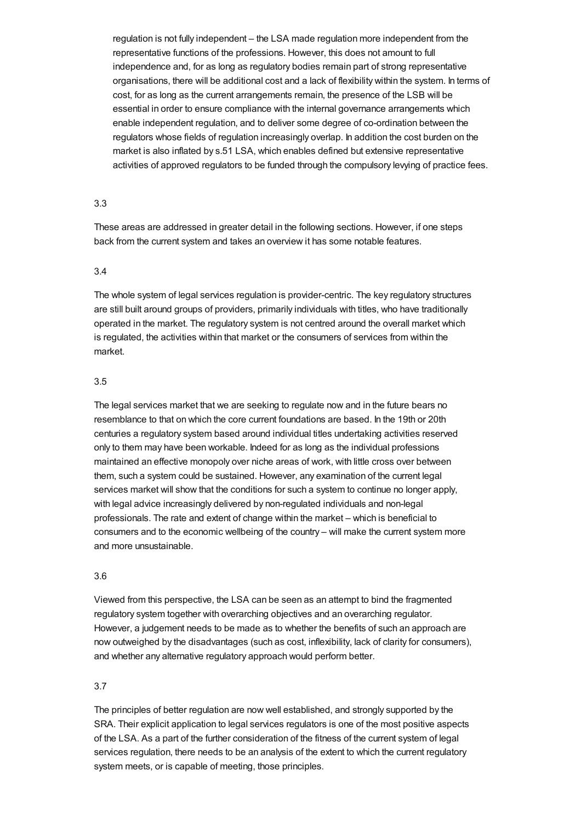regulation is not fully independent – the LSA made regulation more independent from the representative functions of the professions. However, this does not amount to full independence and, for as long as regulatory bodies remain part of strong representative organisations, there will be additional cost and a lack of flexibility within the system. In terms of cost, for as long as the current arrangements remain, the presence of the LSB will be essential in order to ensure compliance with the internal governance arrangements which enable independent regulation, and to deliver some degree of co-ordination between the regulators whose fields of regulation increasingly overlap. In addition the cost burden on the market is also inflated by s.51 LSA, which enables defined but extensive representative activities of approved regulators to be funded through the compulsory levying of practice fees.

#### 3.3

These areas are addressed in greater detail in the following sections. However, if one steps back from the current system and takes an overview it has some notable features.

#### 3.4

The whole system of legal services regulation is provider-centric. The key regulatory structures are still built around groups of providers, primarily individuals with titles, who have traditionally operated in the market. The regulatory system is not centred around the overall market which is regulated, the activities within that market or the consumers of services from within the market.

#### 3.5

The legal services market that we are seeking to regulate now and in the future bears no resemblance to that on which the core current foundations are based. In the 19th or 20th centuries a regulatory system based around individual titles undertaking activities reserved only to them may have been workable. Indeed for as long as the individual professions maintained an effective monopoly over niche areas of work, with little cross over between them, such a system could be sustained. However, any examination of the current legal services market will show that the conditions for such a system to continue no longer apply, with legal advice increasingly delivered by non-regulated individuals and non-legal professionals. The rate and extent of change within the market – which is beneficial to consumers and to the economic wellbeing of the country – will make the current system more and more unsustainable.

## 3.6

Viewed from this perspective, the LSA can be seen as an attempt to bind the fragmented regulatory system together with overarching objectives and an overarching regulator. However, a judgement needs to be made as to whether the benefits of such an approach are now outweighed by the disadvantages (such as cost, inflexibility, lack of clarity for consumers), and whether any alternative regulatory approach would perform better.

## 3.7

The principles of better regulation are now well established, and strongly supported by the SRA. Their explicit application to legal services regulators is one of the most positive aspects of the LSA. As a part of the further consideration of the fitness of the current system of legal services regulation, there needs to be an analysis of the extent to which the current regulatory system meets, or is capable of meeting, those principles.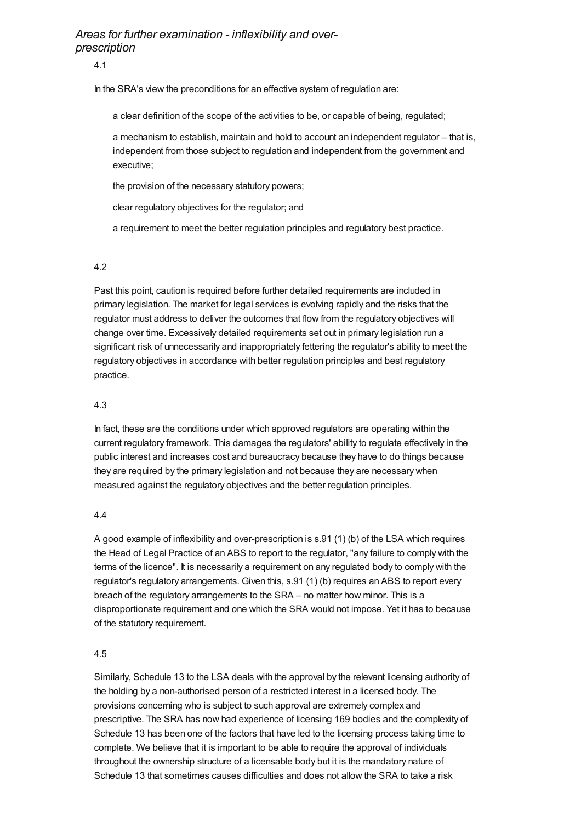# *Areas for further examination - inflexibility and overprescription*

4.1

In the SRA's view the preconditions for an effective system of regulation are:

a clear definition of the scope of the activities to be, or capable of being, regulated;

a mechanism to establish, maintain and hold to account an independent regulator – that is, independent from those subject to regulation and independent from the government and executive;

the provision of the necessary statutory powers;

clear regulatory objectives for the regulator; and

a requirement to meet the better regulation principles and regulatory best practice.

## 4.2

Past this point, caution is required before further detailed requirements are included in primary legislation. The market for legal services is evolving rapidly and the risks that the regulator must address to deliver the outcomes that flow from the regulatory objectives will change over time. Excessively detailed requirements set out in primary legislation run a significant risk of unnecessarily and inappropriately fettering the regulator's ability to meet the regulatory objectives in accordance with better regulation principles and best regulatory practice.

# 4.3

In fact, these are the conditions under which approved regulators are operating within the current regulatory framework. This damages the regulators' ability to regulate effectively in the public interest and increases cost and bureaucracy because they have to do things because they are required by the primary legislation and not because they are necessary when measured against the regulatory objectives and the better regulation principles.

## 4.4

A good example of inflexibility and over-prescription is s.91 (1) (b) of the LSA which requires the Head of Legal Practice of an ABS to report to the regulator, "any failure to comply with the terms of the licence". It is necessarily a requirement on any regulated body to comply with the regulator's regulatory arrangements. Given this, s.91 (1) (b) requires an ABS to report every breach of the regulatory arrangements to the SRA – no matter how minor. This is a disproportionate requirement and one which the SRA would not impose. Yet it has to because of the statutory requirement.

## 4.5

Similarly, Schedule 13 to the LSA deals with the approval by the relevant licensing authority of the holding by a non-authorised person of a restricted interest in a licensed body. The provisions concerning who is subject to such approval are extremely complex and prescriptive. The SRA has now had experience of licensing 169 bodies and the complexity of Schedule 13 has been one of the factors that have led to the licensing process taking time to complete. We believe that it is important to be able to require the approval of individuals throughout the ownership structure of a licensable body but it is the mandatory nature of Schedule 13 that sometimes causes difficulties and does not allow the SRA to take a risk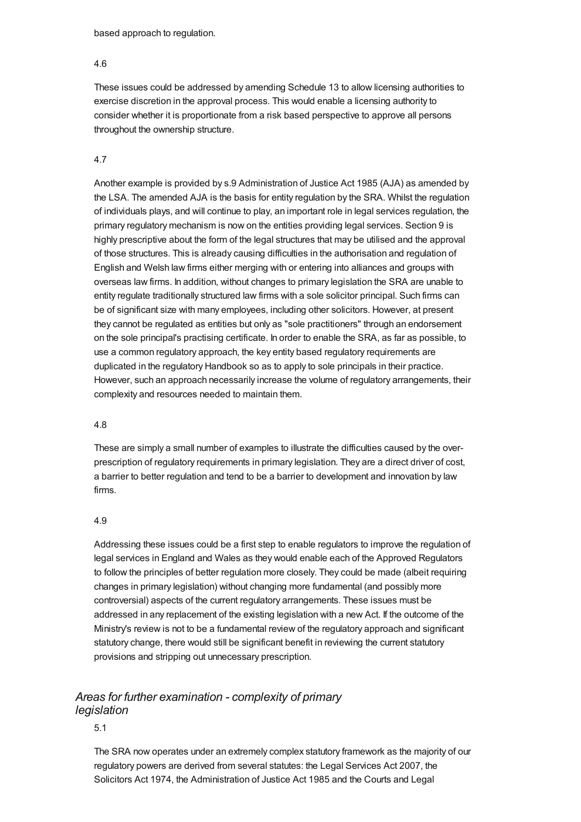based approach to regulation.

#### 4.6

These issues could be addressed by amending Schedule 13 to allow licensing authorities to exercise discretion in the approval process. This would enable a licensing authority to consider whether it is proportionate from a risk based perspective to approve all persons throughout the ownership structure.

# 4.7

Another example is provided by s.9 Administration of Justice Act 1985 (AJA) as amended by the LSA. The amended AJA is the basis for entity regulation by the SRA. Whilst the regulation of individuals plays, and will continue to play, an important role in legal services regulation, the primary regulatory mechanism is now on the entities providing legal services. Section 9 is highly prescriptive about the form of the legal structures that may be utilised and the approval of those structures. This is already causing difficulties in the authorisation and regulation of English and Welsh law firms either merging with or entering into alliances and groups with overseas law firms. In addition, without changes to primary legislation the SRA are unable to entity regulate traditionally structured law firms with a sole solicitor principal. Such firms can be of significant size with many employees, including other solicitors. However, at present they cannot be regulated as entities but only as "sole practitioners" through an endorsement on the sole principal's practising certificate. In order to enable the SRA, as far as possible, to use a common regulatory approach, the key entity based regulatory requirements are duplicated in the regulatory Handbook so as to apply to sole principals in their practice. However, such an approach necessarily increase the volume of regulatory arrangements, their complexity and resources needed to maintain them.

## 4.8

These are simply a small number of examples to illustrate the difficulties caused by the overprescription of regulatory requirements in primary legislation. They are a direct driver of cost, a barrier to better regulation and tend to be a barrier to development and innovation by law firms.

## 4.9

Addressing these issues could be a first step to enable regulators to improve the regulation of legal services in England and Wales as they would enable each of the Approved Regulators to follow the principles of better regulation more closely. They could be made (albeit requiring changes in primary legislation) without changing more fundamental (and possibly more controversial) aspects of the current regulatory arrangements. These issues must be addressed in any replacement of the existing legislation with a new Act. If the outcome of the Ministry's review is not to be a fundamental review of the regulatory approach and significant statutory change, there would still be significant benefit in reviewing the current statutory provisions and stripping out unnecessary prescription.

# *Areas for further examination - complexity of primary legislation*

# 5.1

The SRA now operates under an extremely complex statutory framework as the majority of our regulatory powers are derived from several statutes: the Legal Services Act 2007, the Solicitors Act 1974, the Administration of Justice Act 1985 and the Courts and Legal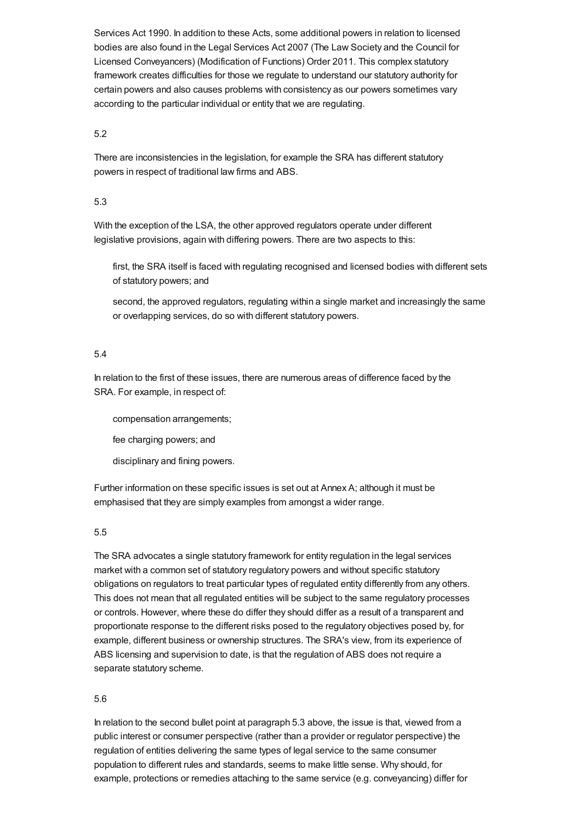Services Act 1990. In addition to these Acts, some additional powers in relation to licensed bodies are also found in the Legal Services Act 2007 (The Law Society and the Council for Licensed Conveyancers) (Modification of Functions) Order 2011. This complex statutory framework creates difficulties for those we regulate to understand our statutory authority for certain powers and also causes problems with consistency as our powers sometimes vary according to the particular individual or entity that we are regulating.

## 5.2

There are inconsistencies in the legislation, for example the SRA has different statutory powers in respect of traditional law firms and ABS.

# 5.3

With the exception of the LSA, the other approved regulators operate under different legislative provisions, again with differing powers. There are two aspects to this:

first, the SRA itself is faced with regulating recognised and licensed bodies with different sets of statutory powers; and

second, the approved regulators, regulating within a single market and increasingly the same or overlapping services, do so with different statutory powers.

## 5.4

In relation to the first of these issues, there are numerous areas of difference faced by the SRA. For example, in respect of:

compensation arrangements;

fee charging powers; and

disciplinary and fining powers.

Further information on these specific issues is set out at Annex A; although it must be emphasised that they are simply examples from amongst a wider range.

# 5.5

The SRA advocates a single statutory framework for entity regulation in the legal services market with a common set of statutory regulatory powers and without specific statutory obligations on regulators to treat particular types of regulated entity differently from any others. This does not mean that all regulated entities will be subject to the same regulatory processes or controls. However, where these do differ they should differ as a result of a transparent and proportionate response to the different risks posed to the regulatory objectives posed by, for example, different business or ownership structures. The SRA's view, from its experience of ABS licensing and supervision to date, is that the regulation of ABS does not require a separate statutory scheme.

## 5.6

In relation to the second bullet point at paragraph 5.3 above, the issue is that, viewed from a public interest or consumer perspective (rather than a provider or regulator perspective) the regulation of entities delivering the same types of legal service to the same consumer population to different rules and standards, seems to make little sense. Why should, for example, protections or remedies attaching to the same service (e.g. conveyancing) differ for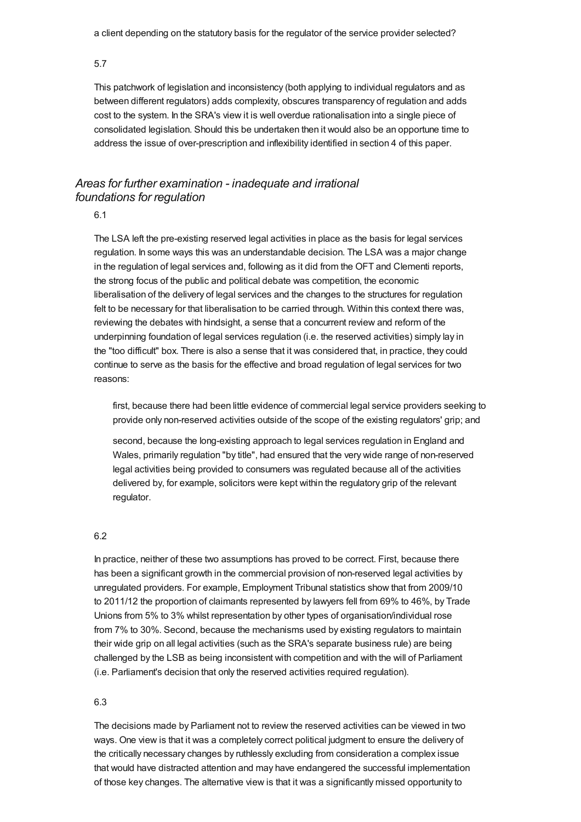a client depending on the statutory basis for the regulator of the service provider selected?

5.7

This patchwork of legislation and inconsistency (both applying to individual regulators and as between different regulators) adds complexity, obscures transparency of regulation and adds cost to the system. In the SRA's view it is well overdue rationalisation into a single piece of consolidated legislation. Should this be undertaken then it would also be an opportune time to address the issue of over-prescription and inflexibility identified in section 4 of this paper.

# *Areas for further examination - inadequate and irrational foundations for regulation*

6.1

The LSA left the pre-existing reserved legal activities in place as the basis for legal services regulation. In some ways this was an understandable decision. The LSA was a major change in the regulation of legal services and, following as it did from the OFT and Clementi reports, the strong focus of the public and political debate was competition, the economic liberalisation of the delivery of legal services and the changes to the structures for regulation felt to be necessary for that liberalisation to be carried through. Within this context there was, reviewing the debates with hindsight, a sense that a concurrent review and reform of the underpinning foundation of legal services regulation (i.e. the reserved activities) simply lay in the "too difficult" box. There is also a sense that it was considered that, in practice, they could continue to serve as the basis for the effective and broad regulation of legal services for two reasons:

first, because there had been little evidence of commercial legal service providers seeking to provide only non-reserved activities outside of the scope of the existing regulators' grip; and

second, because the long-existing approach to legal services regulation in England and Wales, primarily regulation "by title", had ensured that the very wide range of non-reserved legal activities being provided to consumers was regulated because all of the activities delivered by, for example, solicitors were kept within the regulatory grip of the relevant regulator.

### 6.2

In practice, neither of these two assumptions has proved to be correct. First, because there has been a significant growth in the commercial provision of non-reserved legal activities by unregulated providers. For example, Employment Tribunal statistics show that from 2009/10 to 2011/12 the proportion of claimants represented by lawyers fell from 69% to 46%, by Trade Unions from 5% to 3% whilst representation by other types of organisation/individual rose from 7% to 30%. Second, because the mechanisms used by existing regulators to maintain their wide grip on all legal activities (such as the SRA's separate business rule) are being challenged by the LSB as being inconsistent with competition and with the will of Parliament (i.e. Parliament's decision that only the reserved activities required regulation).

#### 6.3

The decisions made by Parliament not to review the reserved activities can be viewed in two ways. One view is that it was a completely correct political judgment to ensure the delivery of the critically necessary changes by ruthlessly excluding from consideration a complex issue that would have distracted attention and may have endangered the successful implementation of those key changes. The alternative view is that it was a significantly missed opportunity to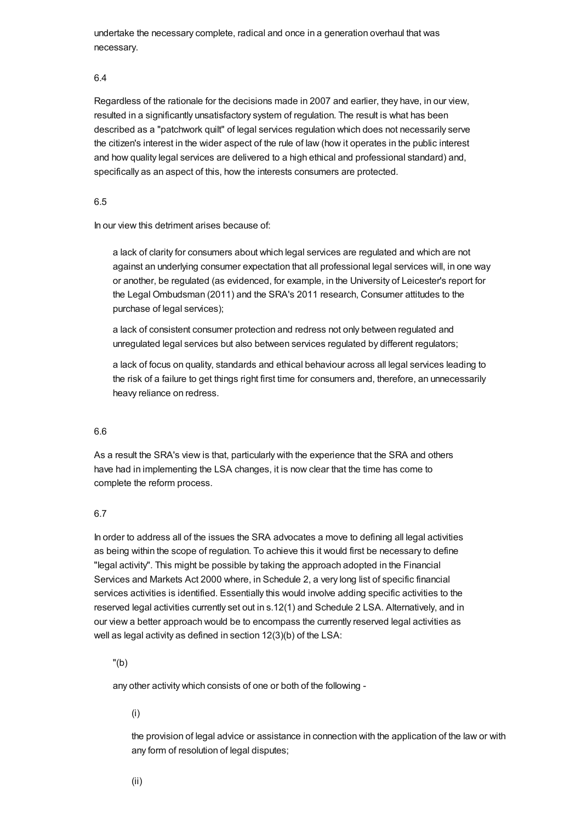undertake the necessary complete, radical and once in a generation overhaul that was necessary.

#### 6.4

Regardless of the rationale for the decisions made in 2007 and earlier, they have, in our view, resulted in a significantly unsatisfactory system of regulation. The result is what has been described as a "patchwork quilt" of legal services regulation which does not necessarily serve the citizen's interest in the wider aspect of the rule of law (how it operates in the public interest and how quality legal services are delivered to a high ethical and professional standard) and, specifically as an aspect of this, how the interests consumers are protected.

#### 6.5

In our view this detriment arises because of:

a lack of clarity for consumers about which legal services are regulated and which are not against an underlying consumer expectation that all professional legal services will, in one way or another, be regulated (as evidenced, for example, in the University of Leicester's report for the Legal Ombudsman (2011) and the SRA's 2011 research, Consumer attitudes to the purchase of legal services);

a lack of consistent consumer protection and redress not only between regulated and unregulated legal services but also between services regulated by different regulators;

a lack of focus on quality, standards and ethical behaviour across all legal services leading to the risk of a failure to get things right first time for consumers and, therefore, an unnecessarily heavy reliance on redress.

#### 6.6

As a result the SRA's view is that, particularly with the experience that the SRA and others have had in implementing the LSA changes, it is now clear that the time has come to complete the reform process.

## 6.7

In order to address all of the issues the SRA advocates a move to defining all legal activities as being within the scope of regulation. To achieve this it would first be necessary to define "legal activity". This might be possible by taking the approach adopted in the Financial Services and Markets Act 2000 where, in Schedule 2, a very long list of specific financial services activities is identified. Essentially this would involve adding specific activities to the reserved legal activities currently set out in s.12(1) and Schedule 2 LSA. Alternatively, and in our view a better approach would be to encompass the currently reserved legal activities as well as legal activity as defined in section 12(3)(b) of the LSA:

"(b)

any other activity which consists of one or both of the following -

(i)

the provision of legal advice or assistance in connection with the application of the law or with any form of resolution of legal disputes;

(ii)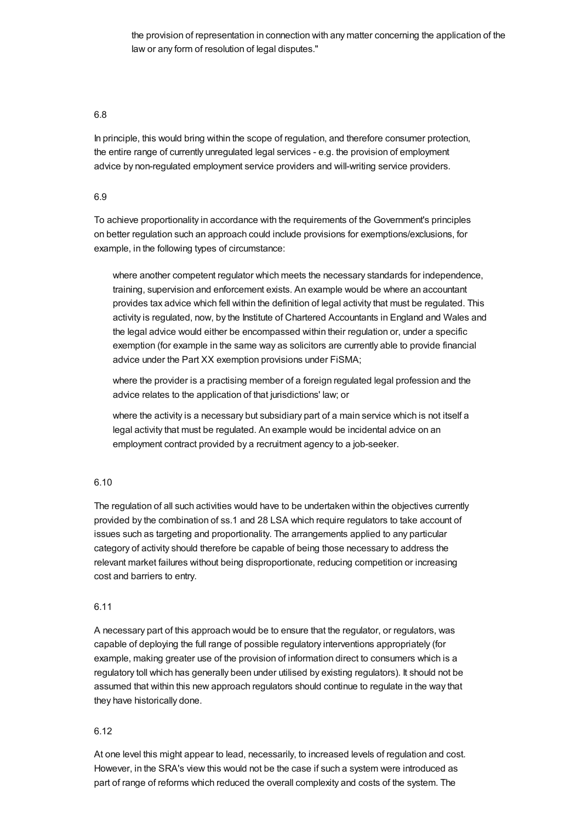the provision of representation in connection with any matter concerning the application of the law or any form of resolution of legal disputes."

## 6.8

In principle, this would bring within the scope of regulation, and therefore consumer protection, the entire range of currently unregulated legal services - e.g. the provision of employment advice by non-regulated employment service providers and will-writing service providers.

## 6.9

To achieve proportionality in accordance with the requirements of the Government's principles on better regulation such an approach could include provisions for exemptions/exclusions, for example, in the following types of circumstance:

where another competent regulator which meets the necessary standards for independence, training, supervision and enforcement exists. An example would be where an accountant provides tax advice which fell within the definition of legal activity that must be regulated. This activity is regulated, now, by the Institute of Chartered Accountants in England and Wales and the legal advice would either be encompassed within their regulation or, under a specific exemption (for example in the same way as solicitors are currently able to provide financial advice under the Part XX exemption provisions under FiSMA;

where the provider is a practising member of a foreign regulated legal profession and the advice relates to the application of that jurisdictions' law; or

where the activity is a necessary but subsidiary part of a main service which is not itself a legal activity that must be regulated. An example would be incidental advice on an employment contract provided by a recruitment agency to a job-seeker.

## 6.10

The regulation of all such activities would have to be undertaken within the objectives currently provided by the combination of ss.1 and 28 LSA which require regulators to take account of issues such as targeting and proportionality. The arrangements applied to any particular category of activity should therefore be capable of being those necessary to address the relevant market failures without being disproportionate, reducing competition or increasing cost and barriers to entry.

## 6.11

A necessary part of this approach would be to ensure that the regulator, or regulators, was capable of deploying the full range of possible regulatory interventions appropriately (for example, making greater use of the provision of information direct to consumers which is a regulatory toll which has generally been under utilised by existing regulators). It should not be assumed that within this new approach regulators should continue to regulate in the way that they have historically done.

## 6.12

At one level this might appear to lead, necessarily, to increased levels of regulation and cost. However, in the SRA's view this would not be the case if such a system were introduced as part of range of reforms which reduced the overall complexity and costs of the system. The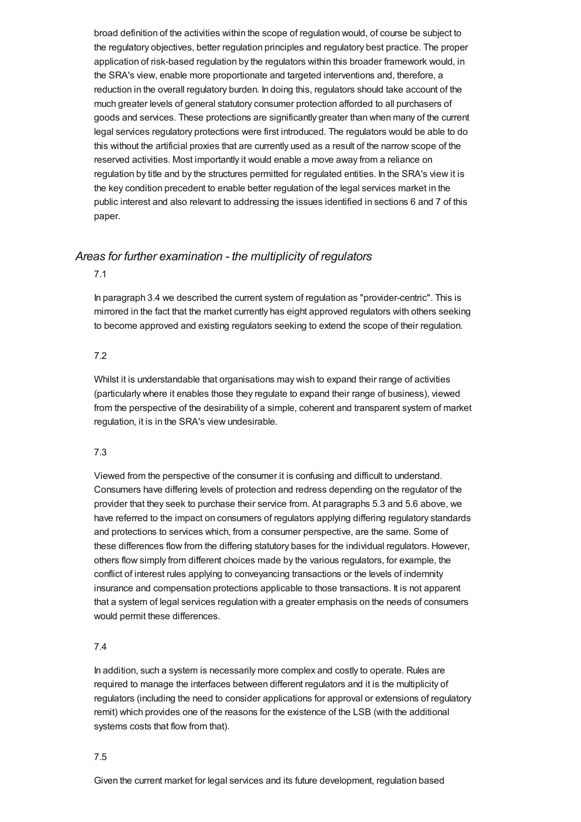broad definition of the activities within the scope of regulation would, of course be subject to the regulatory objectives, better regulation principles and regulatory best practice. The proper application of risk-based regulation by the regulators within this broader framework would, in the SRA's view, enable more proportionate and targeted interventions and, therefore, a reduction in the overall regulatory burden. In doing this, regulators should take account of the much greater levels of general statutory consumer protection afforded to all purchasers of goods and services. These protections are significantly greater than when many of the current legal services regulatory protections were first introduced. The regulators would be able to do this without the artificial proxies that are currently used as a result of the narrow scope of the reserved activities. Most importantly it would enable a move away from a reliance on regulation by title and by the structures permitted for regulated entities. In the SRA's view it is the key condition precedent to enable better regulation of the legal services market in the public interest and also relevant to addressing the issues identified in sections 6 and 7 of this paper.

# *Areas for further examination - the multiplicity of regulators*

7.1

In paragraph 3.4 we described the current system of regulation as "provider-centric". This is mirrored in the fact that the market currently has eight approved regulators with others seeking to become approved and existing regulators seeking to extend the scope of their regulation.

#### 7.2

Whilst it is understandable that organisations may wish to expand their range of activities (particularly where it enables those they regulate to expand their range of business), viewed from the perspective of the desirability of a simple, coherent and transparent system of market regulation, it is in the SRA's view undesirable.

## 7.3

Viewed from the perspective of the consumer it is confusing and difficult to understand. Consumers have differing levels of protection and redress depending on the regulator of the provider that they seek to purchase their service from. At paragraphs 5.3 and 5.6 above, we have referred to the impact on consumers of regulators applying differing regulatory standards and protections to services which, from a consumer perspective, are the same. Some of these differences flow from the differing statutory bases for the individual regulators. However, others flow simply from different choices made by the various regulators, for example, the conflict of interest rules applying to conveyancing transactions or the levels of indemnity insurance and compensation protections applicable to those transactions. It is not apparent that a system of legal services regulation with a greater emphasis on the needs of consumers would permit these differences.

## 7.4

In addition, such a system is necessarily more complex and costly to operate. Rules are required to manage the interfaces between different regulators and it is the multiplicity of regulators (including the need to consider applications for approval or extensions of regulatory remit) which provides one of the reasons for the existence of the LSB (with the additional systems costs that flow from that).

## 7.5

Given the current market for legal services and its future development, regulation based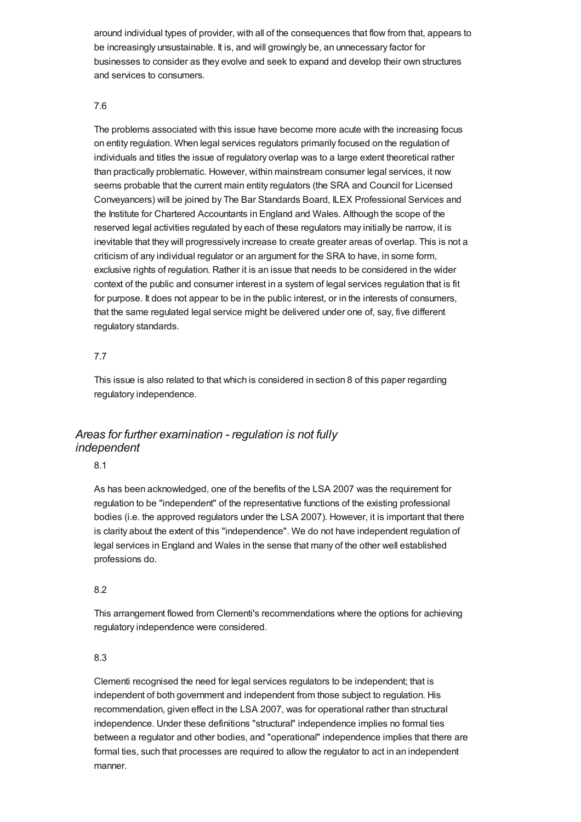around individual types of provider, with all of the consequences that flow from that, appears to be increasingly unsustainable. It is, and will growingly be, an unnecessary factor for businesses to consider as they evolve and seek to expand and develop their own structures and services to consumers.

# 7.6

The problems associated with this issue have become more acute with the increasing focus on entity regulation. When legal services regulators primarily focused on the regulation of individuals and titles the issue of regulatory overlap was to a large extent theoretical rather than practically problematic. However, within mainstream consumer legal services, it now seems probable that the current main entity regulators (the SRA and Council for Licensed Conveyancers) will be joined by The Bar Standards Board, ILEX Professional Services and the Institute for Chartered Accountants in England and Wales. Although the scope of the reserved legal activities regulated by each of these regulators may initially be narrow, it is inevitable that they will progressively increase to create greater areas of overlap. This is not a criticism of any individual regulator or an argument for the SRA to have, in some form, exclusive rights of regulation. Rather it is an issue that needs to be considered in the wider context of the public and consumer interest in a system of legal services regulation that is fit for purpose. It does not appear to be in the public interest, or in the interests of consumers, that the same regulated legal service might be delivered under one of, say, five different regulatory standards.

# 7.7

This issue is also related to that which is considered in section 8 of this paper regarding regulatory independence.

# *Areas for further examination - regulation is not fully independent*

8.1

As has been acknowledged, one of the benefits of the LSA 2007 was the requirement for regulation to be "independent" of the representative functions of the existing professional bodies (i.e. the approved regulators under the LSA 2007). However, it is important that there is clarity about the extent of this "independence". We do not have independent regulation of legal services in England and Wales in the sense that many of the other well established professions do.

# 8.2

This arrangement flowed from Clementi's recommendations where the options for achieving regulatory independence were considered.

# 8.3

Clementi recognised the need for legal services regulators to be independent; that is independent of both government and independent from those subject to regulation. His recommendation, given effect in the LSA 2007, was for operational rather than structural independence. Under these definitions "structural" independence implies no formal ties between a regulator and other bodies, and "operational" independence implies that there are formal ties, such that processes are required to allow the regulator to act in an independent manner.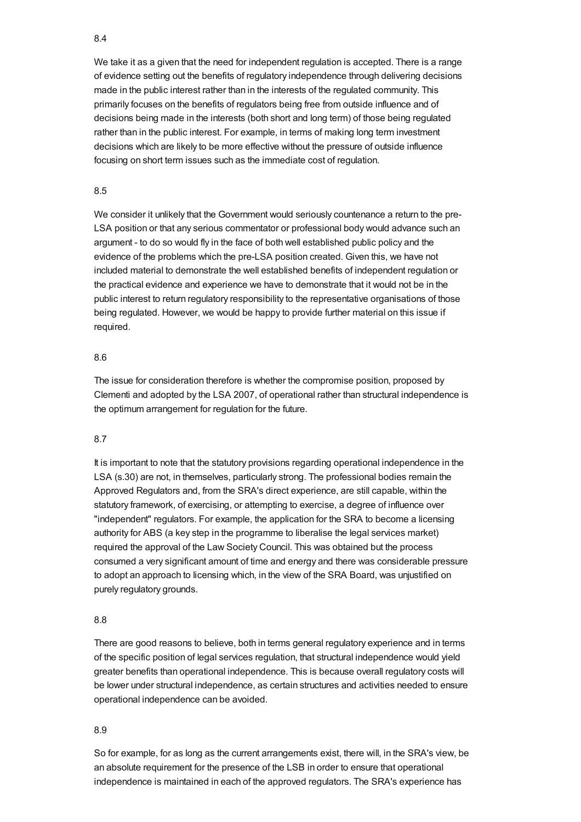# 8.4

We take it as a given that the need for independent regulation is accepted. There is a range of evidence setting out the benefits of regulatory independence through delivering decisions made in the public interest rather than in the interests of the regulated community. This primarily focuses on the benefits of regulators being free from outside influence and of decisions being made in the interests (both short and long term) of those being regulated rather than in the public interest. For example, in terms of making long term investment decisions which are likely to be more effective without the pressure of outside influence focusing on short term issues such as the immediate cost of regulation.

# 8.5

We consider it unlikely that the Government would seriously countenance a return to the pre-LSA position or that any serious commentator or professional body would advance such an argument - to do so would fly in the face of both well established public policy and the evidence of the problems which the pre-LSA position created. Given this, we have not included material to demonstrate the well established benefits of independent regulation or the practical evidence and experience we have to demonstrate that it would not be in the public interest to return regulatory responsibility to the representative organisations of those being regulated. However, we would be happy to provide further material on this issue if required.

# 8.6

The issue for consideration therefore is whether the compromise position, proposed by Clementi and adopted by the LSA 2007, of operational rather than structural independence is the optimum arrangement for regulation for the future.

## 8.7

It is important to note that the statutory provisions regarding operational independence in the LSA (s.30) are not, in themselves, particularly strong. The professional bodies remain the Approved Regulators and, from the SRA's direct experience, are still capable, within the statutory framework, of exercising, or attempting to exercise, a degree of influence over "independent" regulators. For example, the application for the SRA to become a licensing authority for ABS (a key step in the programme to liberalise the legal services market) required the approval of the Law Society Council. This was obtained but the process consumed a very significant amount of time and energy and there was considerable pressure to adopt an approach to licensing which, in the view of the SRA Board, was unjustified on purely regulatory grounds.

## 8.8

There are good reasons to believe, both in terms general regulatory experience and in terms of the specific position of legal services regulation, that structural independence would yield greater benefits than operational independence. This is because overall regulatory costs will be lower under structural independence, as certain structures and activities needed to ensure operational independence can be avoided.

#### 8.9

So for example, for as long as the current arrangements exist, there will, in the SRA's view, be an absolute requirement for the presence of the LSB in order to ensure that operational independence is maintained in each of the approved regulators. The SRA's experience has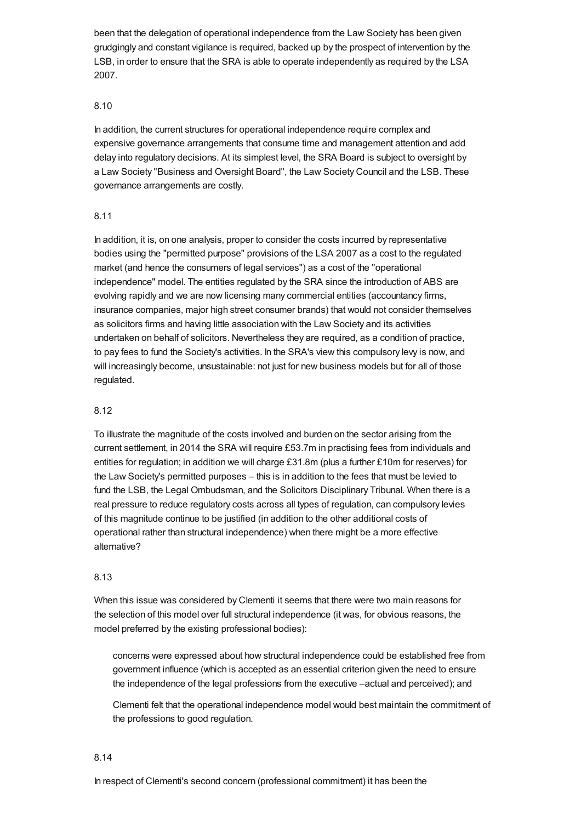been that the delegation of operational independence from the Law Society has been given grudgingly and constant vigilance is required, backed up by the prospect of intervention by the LSB, in order to ensure that the SRA is able to operate independently as required by the LSA 2007.

# 8.10

In addition, the current structures for operational independence require complex and expensive governance arrangements that consume time and management attention and add delay into regulatory decisions. At its simplest level, the SRA Board is subject to oversight by a Law Society "Business and Oversight Board", the Law Society Council and the LSB. These governance arrangements are costly.

# 8.11

In addition, it is, on one analysis, proper to consider the costs incurred by representative bodies using the "permitted purpose" provisions of the LSA 2007 as a cost to the regulated market (and hence the consumers of legal services") as a cost of the "operational independence" model. The entities regulated by the SRA since the introduction of ABS are evolving rapidly and we are now licensing many commercial entities (accountancy firms, insurance companies, major high street consumer brands) that would not consider themselves as solicitors firms and having little association with the Law Society and its activities undertaken on behalf of solicitors. Nevertheless they are required, as a condition of practice, to pay fees to fund the Society's activities. In the SRA's view this compulsory levy is now, and will increasingly become, unsustainable: not just for new business models but for all of those regulated.

# 8.12

To illustrate the magnitude of the costs involved and burden on the sector arising from the current settlement, in 2014 the SRA will require £53.7m in practising fees from individuals and entities for regulation; in addition we will charge £31.8m (plus a further £10m for reserves) for the Law Society's permitted purposes – this is in addition to the fees that must be levied to fund the LSB, the Legal Ombudsman, and the Solicitors Disciplinary Tribunal. When there is a real pressure to reduce regulatory costs across all types of regulation, can compulsory levies of this magnitude continue to be justified (in addition to the other additional costs of operational rather than structural independence) when there might be a more effective alternative?

## 8.13

When this issue was considered by Clementi it seems that there were two main reasons for the selection of this model over full structural independence (it was, for obvious reasons, the model preferred by the existing professional bodies):

concerns were expressed about how structural independence could be established free from government influence (which is accepted as an essential criterion given the need to ensure the independence of the legal professions from the executive –actual and perceived); and

Clementi felt that the operational independence model would best maintain the commitment of the professions to good regulation.

## 8.14

In respect of Clementi's second concern (professional commitment) it has been the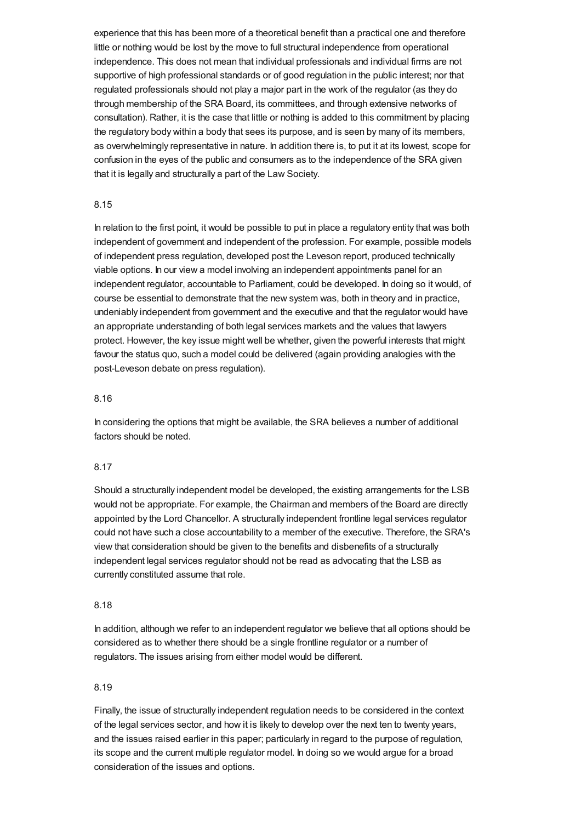experience that this has been more of a theoretical benefit than a practical one and therefore little or nothing would be lost by the move to full structural independence from operational independence. This does not mean that individual professionals and individual firms are not supportive of high professional standards or of good regulation in the public interest; nor that regulated professionals should not play a major part in the work of the regulator (as they do through membership of the SRA Board, its committees, and through extensive networks of consultation). Rather, it is the case that little or nothing is added to this commitment by placing the regulatory body within a body that sees its purpose, and is seen by many of its members, as overwhelmingly representative in nature. In addition there is, to put it at its lowest, scope for confusion in the eyes of the public and consumers as to the independence of the SRA given that it is legally and structurally a part of the Law Society.

#### 8.15

In relation to the first point, it would be possible to put in place a regulatory entity that was both independent of government and independent of the profession. For example, possible models of independent press regulation, developed post the Leveson report, produced technically viable options. In our view a model involving an independent appointments panel for an independent regulator, accountable to Parliament, could be developed. In doing so it would, of course be essential to demonstrate that the new system was, both in theory and in practice, undeniably independent from government and the executive and that the regulator would have an appropriate understanding of both legal services markets and the values that lawyers protect. However, the key issue might well be whether, given the powerful interests that might favour the status quo, such a model could be delivered (again providing analogies with the post-Leveson debate on press regulation).

#### 8.16

In considering the options that might be available, the SRA believes a number of additional factors should be noted.

#### 8.17

Should a structurally independent model be developed, the existing arrangements for the LSB would not be appropriate. For example, the Chairman and members of the Board are directly appointed by the Lord Chancellor. A structurally independent frontline legal services regulator could not have such a close accountability to a member of the executive. Therefore, the SRA's view that consideration should be given to the benefits and disbenefits of a structurally independent legal services regulator should not be read as advocating that the LSB as currently constituted assume that role.

#### 8.18

In addition, although we refer to an independent regulator we believe that all options should be considered as to whether there should be a single frontline regulator or a number of regulators. The issues arising from either model would be different.

#### 8.19

Finally, the issue of structurally independent regulation needs to be considered in the context of the legal services sector, and how it is likely to develop over the next ten to twenty years, and the issues raised earlier in this paper; particularly in regard to the purpose of regulation, its scope and the current multiple regulator model. In doing so we would argue for a broad consideration of the issues and options.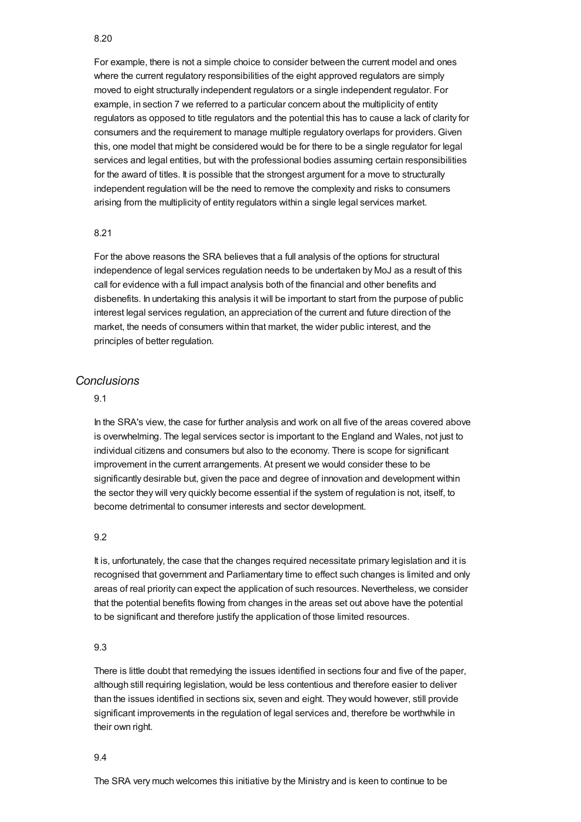#### 8.20

For example, there is not a simple choice to consider between the current model and ones where the current regulatory responsibilities of the eight approved regulators are simply moved to eight structurally independent regulators or a single independent regulator. For example, in section 7 we referred to a particular concern about the multiplicity of entity regulators as opposed to title regulators and the potential this has to cause a lack of clarity for consumers and the requirement to manage multiple regulatory overlaps for providers. Given this, one model that might be considered would be for there to be a single regulator for legal services and legal entities, but with the professional bodies assuming certain responsibilities for the award of titles. It is possible that the strongest argument for a move to structurally independent regulation will be the need to remove the complexity and risks to consumers arising from the multiplicity of entity regulators within a single legal services market.

## 8.21

For the above reasons the SRA believes that a full analysis of the options for structural independence of legal services regulation needs to be undertaken by MoJ as a result of this call for evidence with a full impact analysis both of the financial and other benefits and disbenefits. In undertaking this analysis it will be important to start from the purpose of public interest legal services regulation, an appreciation of the current and future direction of the market, the needs of consumers within that market, the wider public interest, and the principles of better regulation.

# *Conclusions*

# 9.1

In the SRA's view, the case for further analysis and work on all five of the areas covered above is overwhelming. The legal services sector is important to the England and Wales, not just to individual citizens and consumers but also to the economy. There is scope for significant improvement in the current arrangements. At present we would consider these to be significantly desirable but, given the pace and degree of innovation and development within the sector they will very quickly become essential if the system of regulation is not, itself, to become detrimental to consumer interests and sector development.

## 9.2

It is, unfortunately, the case that the changes required necessitate primary legislation and it is recognised that government and Parliamentary time to effect such changes is limited and only areas of real priority can expect the application of such resources. Nevertheless, we consider that the potential benefits flowing from changes in the areas set out above have the potential to be significant and therefore justify the application of those limited resources.

## 9.3

There is little doubt that remedying the issues identified in sections four and five of the paper, although still requiring legislation, would be less contentious and therefore easier to deliver than the issues identified in sections six, seven and eight. They would however, still provide significant improvements in the regulation of legal services and, therefore be worthwhile in their own right.

#### 9.4

The SRA very much welcomes this initiative by the Ministry and is keen to continue to be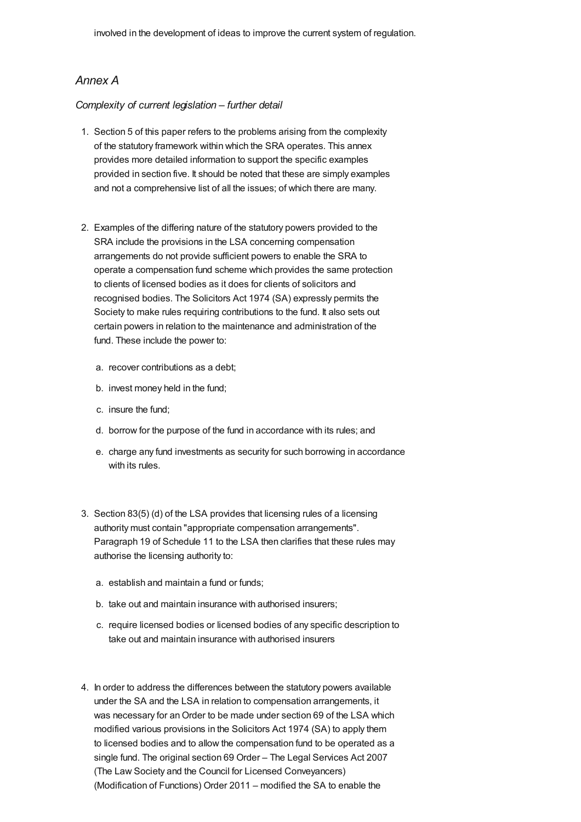# *Annex A*

# *Complexity of current legislation – further detail*

- 1. Section 5 of this paper refers to the problems arising from the complexity of the statutory framework within which the SRA operates. This annex provides more detailed information to support the specific examples provided in section five. It should be noted that these are simply examples and not a comprehensive list of all the issues; of which there are many.
- 2. Examples of the differing nature of the statutory powers provided to the SRA include the provisions in the LSA concerning compensation arrangements do not provide sufficient powers to enable the SRA to operate a compensation fund scheme which provides the same protection to clients of licensed bodies as it does for clients of solicitors and recognised bodies. The Solicitors Act 1974 (SA) expressly permits the Society to make rules requiring contributions to the fund. It also sets out certain powers in relation to the maintenance and administration of the fund. These include the power to:
	- a. recover contributions as a debt;
	- b. invest money held in the fund;
	- c. insure the fund;
	- d. borrow for the purpose of the fund in accordance with its rules; and
	- e. charge any fund investments as security for such borrowing in accordance with its rules.
- 3. Section 83(5) (d) of the LSA provides that licensing rules of a licensing authority must contain "appropriate compensation arrangements". Paragraph 19 of Schedule 11 to the LSA then clarifies that these rules may authorise the licensing authority to:
	- a. establish and maintain a fund or funds;
	- b. take out and maintain insurance with authorised insurers;
	- c. require licensed bodies or licensed bodies of any specific description to take out and maintain insurance with authorised insurers
- 4. In order to address the differences between the statutory powers available under the SA and the LSA in relation to compensation arrangements, it was necessary for an Order to be made under section 69 of the LSA which modified various provisions in the Solicitors Act 1974 (SA) to apply them to licensed bodies and to allow the compensation fund to be operated as a single fund. The original section 69 Order – The Legal Services Act 2007 (The Law Society and the Council for Licensed Conveyancers) (Modification of Functions) Order 2011 – modified the SA to enable the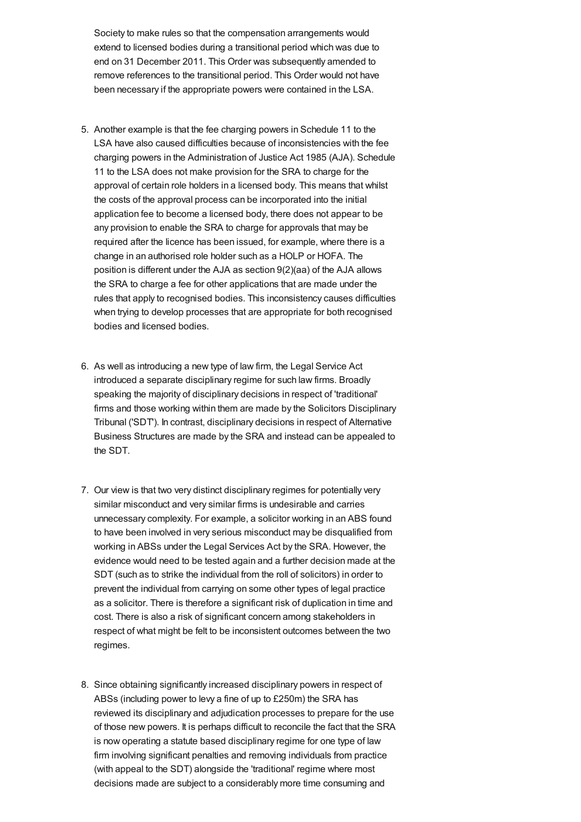Society to make rules so that the compensation arrangements would extend to licensed bodies during a transitional period which was due to end on 31 December 2011. This Order was subsequently amended to remove references to the transitional period. This Order would not have been necessary if the appropriate powers were contained in the LSA.

- 5. Another example is that the fee charging powers in Schedule 11 to the LSA have also caused difficulties because of inconsistencies with the fee charging powers in the Administration of Justice Act 1985 (AJA). Schedule 11 to the LSA does not make provision for the SRA to charge for the approval of certain role holders in a licensed body. This means that whilst the costs of the approval process can be incorporated into the initial application fee to become a licensed body, there does not appear to be any provision to enable the SRA to charge for approvals that may be required after the licence has been issued, for example, where there is a change in an authorised role holder such as a HOLP or HOFA. The position is different under the AJA as section 9(2)(aa) of the AJA allows the SRA to charge a fee for other applications that are made under the rules that apply to recognised bodies. This inconsistency causes difficulties when trying to develop processes that are appropriate for both recognised bodies and licensed bodies.
- 6. As well as introducing a new type of law firm, the Legal Service Act introduced a separate disciplinary regime for such law firms. Broadly speaking the majority of disciplinary decisions in respect of 'traditional' firms and those working within them are made by the Solicitors Disciplinary Tribunal ('SDT'). In contrast, disciplinary decisions in respect of Alternative Business Structures are made by the SRA and instead can be appealed to the SDT.
- 7. Our view is that two very distinct disciplinary regimes for potentially very similar misconduct and very similar firms is undesirable and carries unnecessary complexity. For example, a solicitor working in an ABS found to have been involved in very serious misconduct may be disqualified from working in ABSs under the Legal Services Act by the SRA. However, the evidence would need to be tested again and a further decision made at the SDT (such as to strike the individual from the roll of solicitors) in order to prevent the individual from carrying on some other types of legal practice as a solicitor. There is therefore a significant risk of duplication in time and cost. There is also a risk of significant concern among stakeholders in respect of what might be felt to be inconsistent outcomes between the two regimes.
- 8. Since obtaining significantly increased disciplinary powers in respect of ABSs (including power to levy a fine of up to £250m) the SRA has reviewed its disciplinary and adjudication processes to prepare for the use of those new powers. It is perhaps difficult to reconcile the fact that the SRA is now operating a statute based disciplinary regime for one type of law firm involving significant penalties and removing individuals from practice (with appeal to the SDT) alongside the 'traditional' regime where most decisions made are subject to a considerably more time consuming and